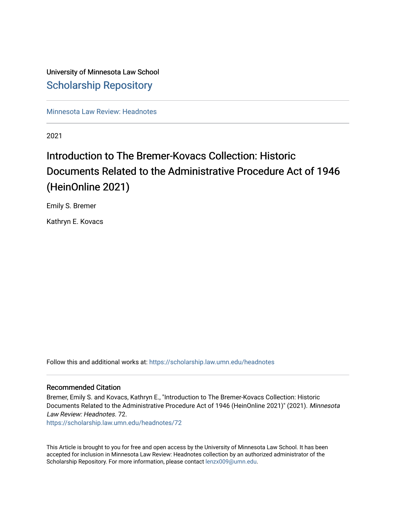# University of Minnesota Law School [Scholarship Repository](https://scholarship.law.umn.edu/)

[Minnesota Law Review: Headnotes](https://scholarship.law.umn.edu/headnotes) 

2021

# Introduction to The Bremer-Kovacs Collection: Historic Documents Related to the Administrative Procedure Act of 1946 (HeinOnline 2021)

Emily S. Bremer

Kathryn E. Kovacs

Follow this and additional works at: [https://scholarship.law.umn.edu/headnotes](https://scholarship.law.umn.edu/headnotes?utm_source=scholarship.law.umn.edu%2Fheadnotes%2F72&utm_medium=PDF&utm_campaign=PDFCoverPages) 

## Recommended Citation

Bremer, Emily S. and Kovacs, Kathryn E., "Introduction to The Bremer-Kovacs Collection: Historic Documents Related to the Administrative Procedure Act of 1946 (HeinOnline 2021)" (2021). Minnesota Law Review: Headnotes. 72.

[https://scholarship.law.umn.edu/headnotes/72](https://scholarship.law.umn.edu/headnotes/72?utm_source=scholarship.law.umn.edu%2Fheadnotes%2F72&utm_medium=PDF&utm_campaign=PDFCoverPages)

This Article is brought to you for free and open access by the University of Minnesota Law School. It has been accepted for inclusion in Minnesota Law Review: Headnotes collection by an authorized administrator of the Scholarship Repository. For more information, please contact [lenzx009@umn.edu.](mailto:lenzx009@umn.edu)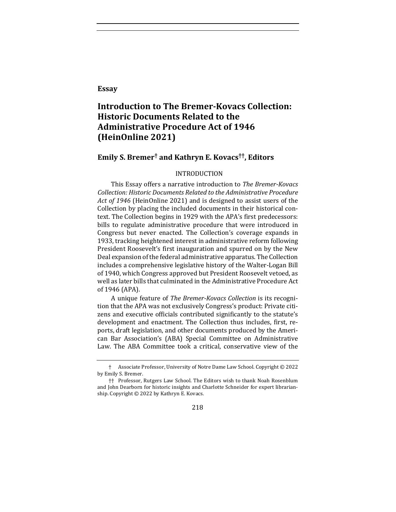#### **Essay**

## **Introduction to The Bremer-Kovacs Collection: Historic Documents Related to the Administrative Procedure Act of 1946 (HeinOnline 2021)**

## **Emily S. Bremer† and Kathryn E. Kovacs††, Editors**

#### INTRODUCTION

This Essay offers a narrative introduction to *The Bremer-Kovacs* Collection: Historic Documents Related to the Administrative Procedure Act of 1946 (HeinOnline 2021) and is designed to assist users of the Collection by placing the included documents in their historical context. The Collection begins in 1929 with the APA's first predecessors: bills to regulate administrative procedure that were introduced in Congress but never enacted. The Collection's coverage expands in 1933, tracking heightened interest in administrative reform following President Roosevelt's first inauguration and spurred on by the New Deal expansion of the federal administrative apparatus. The Collection includes a comprehensive legislative history of the Walter-Logan Bill of 1940, which Congress approved but President Roosevelt vetoed, as well as later bills that culminated in the Administrative Procedure Act of 1946 (APA).

A unique feature of *The Bremer-Kovacs Collection* is its recognition that the APA was not exclusively Congress's product: Private citizens and executive officials contributed significantly to the statute's development and enactment. The Collection thus includes, first, reports, draft legislation, and other documents produced by the American Bar Association's (ABA) Special Committee on Administrative Law. The ABA Committee took a critical, conservative view of the

218

<sup>†</sup> Associate Professor, University of Notre Dame Law School. Copyright © 2022 by Emily S. Bremer.

<sup>††</sup> Professor, Rutgers Law School. The Editors wish to thank Noah Rosenblum and John Dearborn for historic insights and Charlotte Schneider for expert librarianship. Copyright  $©$  2022 by Kathryn E. Kovacs.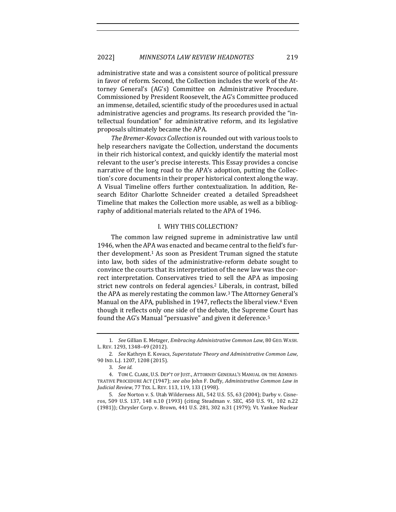administrative state and was a consistent source of political pressure in favor of reform. Second, the Collection includes the work of the Attorney General's (AG's) Committee on Administrative Procedure. Commissioned by President Roosevelt, the AG's Committee produced an immense, detailed, scientific study of the procedures used in actual administrative agencies and programs. Its research provided the "intellectual foundation" for administrative reform, and its legislative proposals ultimately became the APA.

The Bremer-Kovacs Collection is rounded out with various tools to help researchers navigate the Collection, understand the documents in their rich historical context, and quickly identify the material most relevant to the user's precise interests. This Essay provides a concise narrative of the long road to the APA's adoption, putting the Collection's core documents in their proper historical context along the way. A Visual Timeline offers further contextualization. In addition, Research Editor Charlotte Schneider created a detailed Spreadsheet Timeline that makes the Collection more usable, as well as a bibliography of additional materials related to the APA of 1946.

#### I. WHY THIS COLLECTION?

The common law reigned supreme in administrative law until 1946, when the APA was enacted and became central to the field's further development.<sup>1</sup> As soon as President Truman signed the statute into law, both sides of the administrative-reform debate sought to convince the courts that its interpretation of the new law was the correct interpretation. Conservatives tried to sell the APA as imposing strict new controls on federal agencies.<sup>2</sup> Liberals, in contrast, billed the APA as merely restating the common law.<sup>3</sup> The Attorney General's Manual on the APA, published in 1947, reflects the liberal view.<sup>4</sup> Even though it reflects only one side of the debate, the Supreme Court has found the AG's Manual "persuasive" and given it deference.<sup>5</sup>

<sup>1</sup>*. See* Gillian E. Metzger, *Embracing Administrative Common Law*, 80 GEO. WASH. L. REV. 1293, 1348-49 (2012).

<sup>2</sup>*. See* Kathryn E. Kovacs, *Superstatute Theory and Administrative Common Law*, 90 IND. L.J. 1207, 1208 (2015).

<sup>3</sup>*. See id.*

<sup>4.</sup> TOM C. CLARK, U.S. DEP'T OF JUST., ATTORNEY GENERAL'S MANUAL ON THE ADMINIS-TRATIVE PROCEDURE ACT (1947); see also John F. Duffy, *Administrative Common Law in Judicial Review*, 77 TEX. L. REV. 113, 119, 133 (1998).

<sup>5</sup>*. See* Norton v. S. Utah Wilderness All., 542 U.S. 55, 63 (2004); Darby v. Cisneros, 509 U.S. 137, 148 n.10 (1993) (citing Steadman v. SEC, 450 U.S. 91, 102 n.22 (1981)); Chrysler Corp. v. Brown, 441 U.S. 281, 302 n.31 (1979); Vt. Yankee Nuclear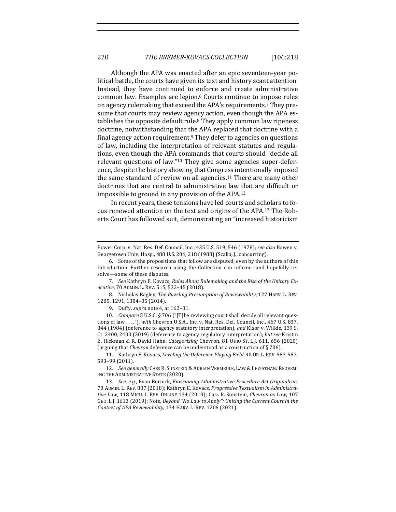Although the APA was enacted after an epic seventeen-year political battle, the courts have given its text and history scant attention. Instead, they have continued to enforce and create administrative common law. Examples are legion.<sup>6</sup> Courts continue to impose rules on agency rulemaking that exceed the APA's requirements.<sup>7</sup> They presume that courts may review agency action, even though the APA establishes the opposite default rule.<sup>8</sup> They apply common law ripeness doctrine, notwithstanding that the APA replaced that doctrine with a final agency action requirement.<sup>9</sup> They defer to agencies on questions of law, including the interpretation of relevant statutes and regulations, even though the APA commands that courts should "decide all relevant questions of law."<sup>10</sup> They give some agencies super-deference, despite the history showing that Congress intentionally imposed the same standard of review on all agencies.<sup>11</sup> There are many other doctrines that are central to administrative law that are difficult or impossible to ground in any provision of the  $APA$ .<sup>12</sup>

In recent years, these tensions have led courts and scholars to focus renewed attention on the text and origins of the APA.<sup>13</sup> The Roberts Court has followed suit, demonstrating an "increased historicism

7. See Kathryn E. Kovacs, Rules About Rulemaking and the Rise of the Unitary Ex*ecutive*, 70 ADMIN. L. REV. 515, 532–45 (2018).

8. Nicholas Bagley, The Puzzling Presumption of Reviewability, 127 HARV. L. REV. 1285, 1291, 1304–05 (2014).

9. Duffy, *supra* note 4, at 162-81.

10. Compare 5 U.S.C. § 706 ("[T]he reviewing court shall decide all relevant questions of law ...."), *with* Chevron U.S.A., Inc. v. Nat. Res. Def. Council, Inc., 467 U.S. 837, 844 (1984) (deference to agency statutory interpretation), and Kisor v. Wilkie, 139 S. Ct. 2400, 2400 (2019) (deference to agency regulatory interpretation); but see Kristin E. Hickman & R. David Hahn, *Categorizing* Chevron, 81 OHIO ST. L.J. 611, 656 (2020) (arguing that *Chevron* deference can be understood as a construction of § 706).

11. Kathryn E. Kovacs, *Leveling the Deference Playing Field*, 90 Or. L. REV. 583, 587, 593–99 (2011).

12. See generally CASS R. SUNSTEIN & ADRIAN VERMEULE, LAW & LEVIATHAN: REDEEM-ING THE ADMINISTRATIVE STATE (2020).

13. *See, e.g.*, Evan Bernick, *Envisioning Administrative Procedure Act Originalism*, 70 ADMIN. L. REV. 807 (2018); Kathryn E. Kovacs, *Progressive Textualism in Administrative Law*, 118 MICH. L. REV. ONLINE 134 (2019); Cass R. Sunstein, *Chevron as Law*, 107 GEO. L.J. 1613 (2019); Note, *Beyond "No Law to Apply": Uniting the Current Court in the* Context of APA Reviewability, 134 HARV. L. REV. 1206 (2021).

Power Corp. v. Nat. Res. Def. Council, Inc., 435 U.S. 519, 546 (1978); see also Bowen v. Georgetown Univ. Hosp., 488 U.S. 204, 218 (1988) (Scalia, J., concurring).

<sup>6.</sup> Some of the propositions that follow are disputed, even by the authors of this Introduction. Further research using the Collection can inform—and hopefully resolve—some of these disputes.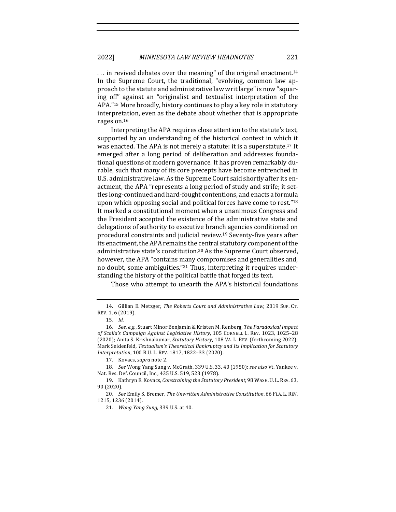$\ldots$  in revived debates over the meaning" of the original enactment.<sup>14</sup> In the Supreme Court, the traditional, "evolving, common law approach to the statute and administrative law writ large" is now "squaring off" against an "originalist and textualist interpretation of the APA."<sup>15</sup> More broadly, history continues to play a key role in statutory interpretation, even as the debate about whether that is appropriate rages on.<sup>16</sup>

Interpreting the APA requires close attention to the statute's text, supported by an understanding of the historical context in which it was enacted. The APA is not merely a statute: it is a superstatute.<sup>17</sup> It emerged after a long period of deliberation and addresses foundational questions of modern governance. It has proven remarkably durable, such that many of its core precepts have become entrenched in U.S. administrative law. As the Supreme Court said shortly after its enactment, the APA "represents a long period of study and strife; it settles long-continued and hard-fought contentions, and enacts a formula upon which opposing social and political forces have come to rest." $18$ It marked a constitutional moment when a unanimous Congress and the President accepted the existence of the administrative state and delegations of authority to executive branch agencies conditioned on procedural constraints and judicial review.<sup>19</sup> Seventy-five years after its enactment, the APA remains the central statutory component of the administrative state's constitution.<sup>20</sup> As the Supreme Court observed, however, the APA "contains many compromises and generalities and, no doubt, some ambiguities."<sup>21</sup> Thus, interpreting it requires understanding the history of the political battle that forged its text.

Those who attempt to unearth the APA's historical foundations

<sup>14.</sup> Gillian E. Metzger, *The Roberts Court and Administrative Law*, 2019 Sup. CT. REV. 1, 6 (2019).

<sup>15</sup>*. Id.*

<sup>16.</sup> *See, e.g.*, Stuart Minor Benjamin & Kristen M. Renberg, The Paradoxical Impact of Scalia's Campaign Against Legislative History, 105 CORNELL L. REV. 1023, 1025-28 (2020); Anita S. Krishnakumar, *Statutory History*, 108 VA. L. REV. (forthcoming 2022); Mark Seidenfeld, Textualism's Theoretical Bankruptcy and Its Implication for Statutory *Interpretation,* 100 B.U. L. REV. 1817, 1822-33 (2020).

<sup>17.</sup> Kovacs, *supra* note 2.

<sup>18.</sup> *See* Wong Yang Sung v. McGrath, 339 U.S. 33, 40 (1950); see also Vt. Yankee v. Nat. Res. Def. Council, Inc., 435 U.S. 519, 523 (1978).

<sup>19.</sup> Kathryn E. Kovacs, *Constraining the Statutory President*, 98 WASH. U. L. REV. 63, 90 (2020).

<sup>20.</sup> *See* Emily S. Bremer, *The Unwritten Administrative Constitution*, 66 FLA. L. REV. 1215, 1236 (2014).

<sup>21.</sup> *Wong Yang Sung*, 339 U.S. at 40.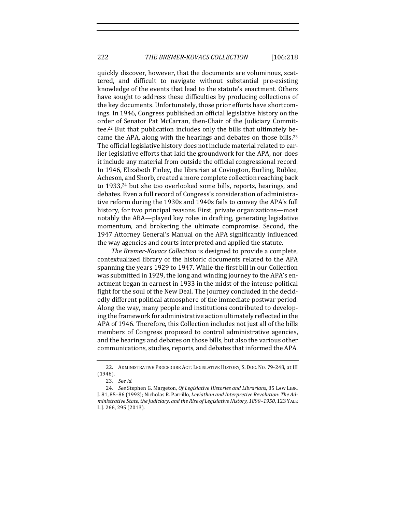quickly discover, however, that the documents are voluminous, scattered, and difficult to navigate without substantial pre-existing knowledge of the events that lead to the statute's enactment. Others have sought to address these difficulties by producing collections of the key documents. Unfortunately, those prior efforts have shortcomings. In 1946, Congress published an official legislative history on the order of Senator Pat McCarran, then-Chair of the Judiciary Committee.<sup>22</sup> But that publication includes only the bills that ultimately became the APA, along with the hearings and debates on those bills.<sup>23</sup> The official legislative history does not include material related to earlier legislative efforts that laid the groundwork for the APA, nor does it include any material from outside the official congressional record. In 1946, Elizabeth Finley, the librarian at Covington, Burling, Rublee, Acheson, and Shorb, created a more complete collection reaching back to 1933,<sup>24</sup> but she too overlooked some bills, reports, hearings, and debates. Even a full record of Congress's consideration of administrative reform during the 1930s and 1940s fails to convey the APA's full history, for two principal reasons. First, private organizations-most notably the ABA—played key roles in drafting, generating legislative momentum, and brokering the ultimate compromise. Second, the 1947 Attorney General's Manual on the APA significantly influenced the way agencies and courts interpreted and applied the statute.

*The Bremer-Kovacs Collection* is designed to provide a complete, contextualized library of the historic documents related to the APA spanning the years 1929 to 1947. While the first bill in our Collection was submitted in 1929, the long and winding journey to the APA's enactment began in earnest in 1933 in the midst of the intense political fight for the soul of the New Deal. The journey concluded in the decidedly different political atmosphere of the immediate postwar period. Along the way, many people and institutions contributed to developing the framework for administrative action ultimately reflected in the APA of 1946. Therefore, this Collection includes not just all of the bills members of Congress proposed to control administrative agencies, and the hearings and debates on those bills, but also the various other communications, studies, reports, and debates that informed the APA.

<sup>22.</sup> ADMINISTRATIVE PROCEDURE ACT: LEGISLATIVE HISTORY, S. DOC. NO. 79-248, at III (1946).

<sup>23</sup>*. See id.*

<sup>24.</sup> *See* Stephen G. Margeton, *Of Legislative Histories and Librarians*, 85 LAW LIBR. J. 81, 85-86 (1993); Nicholas R. Parrillo, *Leviathan and Interpretive Revolution: The Ad*ministrative State, the Judiciary, and the Rise of Legislative History, 1890-1950, 123 YALE L.J. 266, 295 (2013).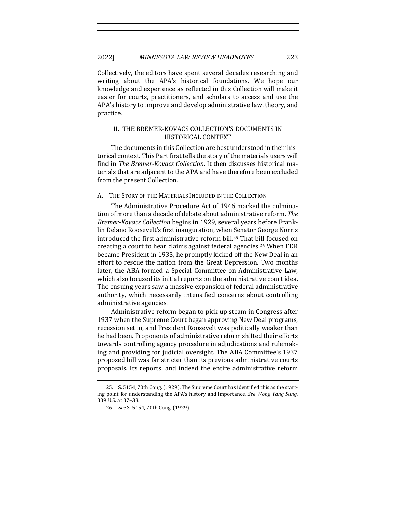Collectively, the editors have spent several decades researching and writing about the APA's historical foundations. We hope our knowledge and experience as reflected in this Collection will make it easier for courts, practitioners, and scholars to access and use the APA's history to improve and develop administrative law, theory, and practice.

#### II. THE BREMER-KOVACS COLLECTION'S DOCUMENTS IN HISTORICAL CONTEXT

The documents in this Collection are best understood in their historical context. This Part first tells the story of the materials users will find in *The Bremer-Kovacs Collection*. It then discusses historical materials that are adjacent to the APA and have therefore been excluded from the present Collection.

#### A. THE STORY OF THE MATERIALS INCLUDED IN THE COLLECTION

The Administrative Procedure Act of 1946 marked the culmination of more than a decade of debate about administrative reform. The *Bremer-Kovacs Collection* begins in 1929, several years before Franklin Delano Roosevelt's first inauguration, when Senator George Norris introduced the first administrative reform bill.<sup>25</sup> That bill focused on creating a court to hear claims against federal agencies.<sup>26</sup> When FDR became President in 1933, he promptly kicked off the New Deal in an effort to rescue the nation from the Great Depression. Two months later, the ABA formed a Special Committee on Administrative Law, which also focused its initial reports on the administrative court idea. The ensuing years saw a massive expansion of federal administrative authority, which necessarily intensified concerns about controlling administrative agencies.

Administrative reform began to pick up steam in Congress after 1937 when the Supreme Court began approving New Deal programs, recession set in, and President Roosevelt was politically weaker than he had been. Proponents of administrative reform shifted their efforts towards controlling agency procedure in adjudications and rulemaking and providing for judicial oversight. The ABA Committee's 1937 proposed bill was far stricter than its previous administrative courts proposals. Its reports, and indeed the entire administrative reform 

<sup>25.</sup> S. 5154, 70th Cong. (1929). The Supreme Court has identified this as the starting point for understanding the APA's history and importance. See Wong Yang Sung, 339 U.S. at 37–38.

<sup>26</sup>*. See* S. 5154, 70th Cong. (1929).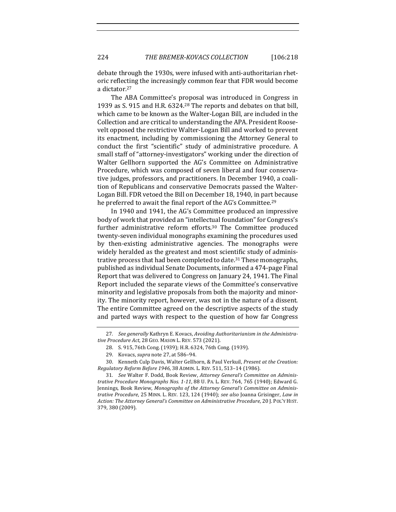debate through the 1930s, were infused with anti-authoritarian rhetoric reflecting the increasingly common fear that FDR would become a dictator.<sup>27</sup>

The ABA Committee's proposal was introduced in Congress in 1939 as S. 915 and H.R. 6324.<sup>28</sup> The reports and debates on that bill, which came to be known as the Walter-Logan Bill, are included in the Collection and are critical to understanding the APA. President Roosevelt opposed the restrictive Walter-Logan Bill and worked to prevent its enactment, including by commissioning the Attorney General to conduct the first "scientific" study of administrative procedure. A small staff of "attorney-investigators" working under the direction of Walter Gellhorn supported the AG's Committee on Administrative Procedure, which was composed of seven liberal and four conservative judges, professors, and practitioners. In December 1940, a coalition of Republicans and conservative Democrats passed the Walter-Logan Bill. FDR vetoed the Bill on December 18, 1940, in part because he preferred to await the final report of the AG's Committee.<sup>29</sup>

In 1940 and 1941, the AG's Committee produced an impressive body of work that provided an "intellectual foundation" for Congress's further administrative reform efforts.<sup>30</sup> The Committee produced twenty-seven individual monographs examining the procedures used by then-existing administrative agencies. The monographs were widely heralded as the greatest and most scientific study of administrative process that had been completed to date.<sup>31</sup> These monographs, published as individual Senate Documents, informed a 474-page Final Report that was delivered to Congress on January 24, 1941. The Final Report included the separate views of the Committee's conservative minority and legislative proposals from both the majority and minority. The minority report, however, was not in the nature of a dissent. The entire Committee agreed on the descriptive aspects of the study and parted ways with respect to the question of how far Congress

<sup>27.</sup> See generally Kathryn E. Kovacs, *Avoiding Authoritarianism in the Administra*tive Procedure Act, 28 GEO. MASON L. REV. 573 (2021).

<sup>28.</sup> S. 915, 76th Cong. (1939); H.R. 6324, 76th Cong. (1939).

<sup>29.</sup> Kovacs, *supra* note 27, at 586-94.

<sup>30.</sup> Kenneth Culp Davis, Walter Gellhorn, & Paul Verkuil, *Present at the Creation: Regulatory Reform Before 1946*, 38 ADMIN. L. REV. 511, 513–14 (1986).

<sup>31.</sup> See Walter F. Dodd, Book Review, Attorney General's Committee on Adminis*trative Procedure Monographs Nos.* 1-11, 88 U. PA. L. REV. 764, 765 (1940); Edward G. Jennings, Book Review, Monographs of the Attorney General's Committee on Adminis*trative Procedure*, 25 MINN. L. REV. 123, 124 (1940); *see also* Joanna Grisinger, *Law in Action: The Attorney General's Committee on Administrative Procedure*, 20 J. POL'Y HIST. 379, 380 (2009).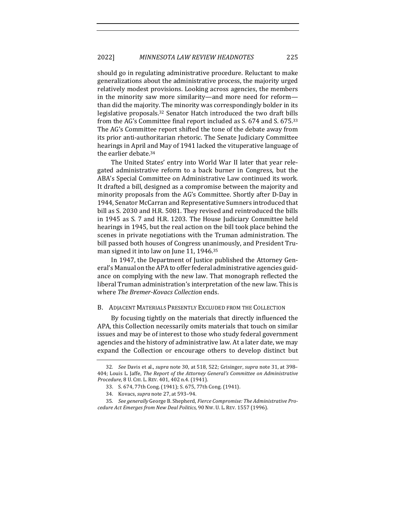should go in regulating administrative procedure. Reluctant to make generalizations about the administrative process, the majority urged relatively modest provisions. Looking across agencies, the members in the minority saw more similarity—and more need for reform than did the majority. The minority was correspondingly bolder in its legislative proposals.<sup>32</sup> Senator Hatch introduced the two draft bills from the AG's Committee final report included as S. 674 and S. 675.33 The AG's Committee report shifted the tone of the debate away from its prior anti-authoritarian rhetoric. The Senate Judiciary Committee hearings in April and May of 1941 lacked the vituperative language of the earlier debate.<sup>34</sup>

The United States' entry into World War II later that year relegated administrative reform to a back burner in Congress, but the ABA's Special Committee on Administrative Law continued its work. It drafted a bill, designed as a compromise between the majority and minority proposals from the AG's Committee. Shortly after D-Day in 1944, Senator McCarran and Representative Sumners introduced that bill as S. 2030 and H.R. 5081. They revised and reintroduced the bills in 1945 as S. 7 and H.R. 1203. The House Judiciary Committee held hearings in 1945, but the real action on the bill took place behind the scenes in private negotiations with the Truman administration. The bill passed both houses of Congress unanimously, and President Truman signed it into law on June 11, 1946. $35$ 

In 1947, the Department of Justice published the Attorney General's Manual on the APA to offer federal administrative agencies guidance on complying with the new law. That monograph reflected the liberal Truman administration's interpretation of the new law. This is where *The Bremer-Kovacs Collection* ends.

#### B. ADJACENT MATERIALS PRESENTLY EXCLUDED FROM THE COLLECTION

By focusing tightly on the materials that directly influenced the APA, this Collection necessarily omits materials that touch on similar issues and may be of interest to those who study federal government agencies and the history of administrative law. At a later date, we may expand the Collection or encourage others to develop distinct but

<sup>32.</sup> *See* Davis et al., *supra* note 30, at 518, 522; Grisinger, *supra* note 31, at 398– 404; Louis L. Jaffe, *The Report of the Attorney General's Committee on Administrative Procedure*, 8 U. CHI. L. REV. 401, 402 n.4. (1941).

<sup>33.</sup> S. 674, 77th Cong. (1941); S. 675, 77th Cong. (1941).

<sup>34.</sup> Kovacs, *supra* note 27, at 593-94.

<sup>35.</sup> See generally George B. Shepherd, *Fierce Compromise: The Administrative Pro*cedure Act Emerges from New Deal Politics, 90 Nw. U. L. REV. 1557 (1996).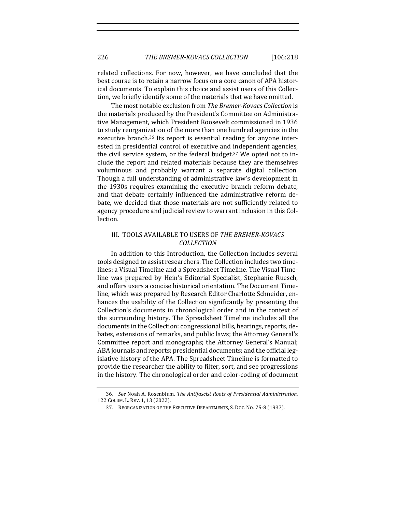related collections. For now, however, we have concluded that the best course is to retain a narrow focus on a core canon of APA historical documents. To explain this choice and assist users of this Collection, we briefly identify some of the materials that we have omitted.

The most notable exclusion from *The Bremer-Kovacs Collection* is the materials produced by the President's Committee on Administrative Management, which President Roosevelt commissioned in 1936 to study reorganization of the more than one hundred agencies in the executive branch.<sup>36</sup> Its report is essential reading for anyone interested in presidential control of executive and independent agencies, the civil service system, or the federal budget.<sup>37</sup> We opted not to include the report and related materials because they are themselves voluminous and probably warrant a separate digital collection. Though a full understanding of administrative law's development in the 1930s requires examining the executive branch reform debate, and that debate certainly influenced the administrative reform debate, we decided that those materials are not sufficiently related to agency procedure and judicial review to warrant inclusion in this Collection.

### III. TOOLS AVAILABLE TO USERS OF THE BREMER-KOVACS *COLLECTION*

In addition to this Introduction, the Collection includes several tools designed to assist researchers. The Collection includes two timelines: a Visual Timeline and a Spreadsheet Timeline. The Visual Timeline was prepared by Hein's Editorial Specialist, Stephanie Ruesch, and offers users a concise historical orientation. The Document Timeline, which was prepared by Research Editor Charlotte Schneider, enhances the usability of the Collection significantly by presenting the Collection's documents in chronological order and in the context of the surrounding history. The Spreadsheet Timeline includes all the documents in the Collection: congressional bills, hearings, reports, debates, extensions of remarks, and public laws; the Attorney General's Committee report and monographs; the Attorney General's Manual; ABA journals and reports; presidential documents; and the official legislative history of the APA. The Spreadsheet Timeline is formatted to provide the researcher the ability to filter, sort, and see progressions in the history. The chronological order and color-coding of document

<sup>36</sup>*. See* Noah A. Rosenblum, *The Antifascist Roots of Presidential Administration*, 122 COLUM. L. REV. 1, 13 (2022).

<sup>37.</sup> REORGANIZATION OF THE EXECUTIVE DEPARTMENTS, S. DOC. NO. 75-8 (1937).